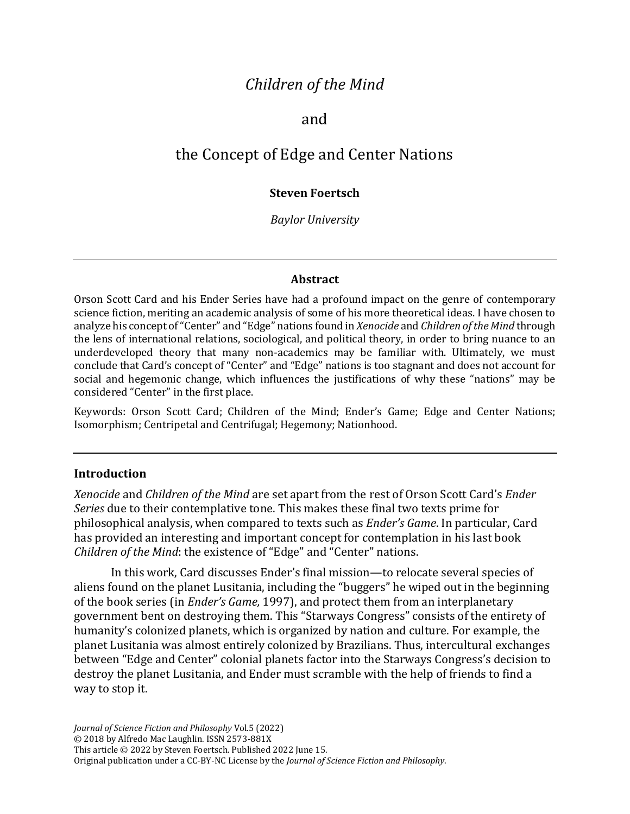# *Children of the Mind*

### and

# the Concept of Edge and Center Nations

#### **Steven Foertsch**

*Baylor University*

#### **Abstract**

Orson Scott Card and his Ender Series have had a profound impact on the genre of contemporary science fiction, meriting an academic analysis of some of his more theoretical ideas. I have chosen to analyze his concept of "Center" and "Edge" nations found in *Xenocide* and *Children of the Mind* through the lens of international relations, sociological, and political theory, in order to bring nuance to an underdeveloped theory that many non-academics may be familiar with. Ultimately, we must conclude that Card's concept of "Center" and "Edge" nations is too stagnant and does not account for social and hegemonic change, which influences the justifications of why these "nations" may be considered "Center" in the first place.

Keywords: Orson Scott Card; Children of the Mind; Ender's Game; Edge and Center Nations; Isomorphism; Centripetal and Centrifugal; Hegemony; Nationhood.

#### **Introduction**

*Xenocide* and *Children of the Mind* are set apart from the rest of Orson Scott Card's *Ender Series* due to their contemplative tone. This makes these final two texts prime for philosophical analysis, when compared to texts such as *Ender's Game*. In particular, Card has provided an interesting and important concept for contemplation in his last book *Children of the Mind*: the existence of "Edge" and "Center" nations.

In this work, Card discusses Ender's final mission—to relocate several species of aliens found on the planet Lusitania, including the "buggers" he wiped out in the beginning of the book series (in *Ender's Game,* 1997), and protect them from an interplanetary government bent on destroying them. This "Starways Congress" consists of the entirety of humanity's colonized planets, which is organized by nation and culture. For example, the planet Lusitania was almost entirely colonized by Brazilians. Thus, intercultural exchanges between "Edge and Center" colonial planets factor into the Starways Congress's decision to destroy the planet Lusitania, and Ender must scramble with the help of friends to find a way to stop it.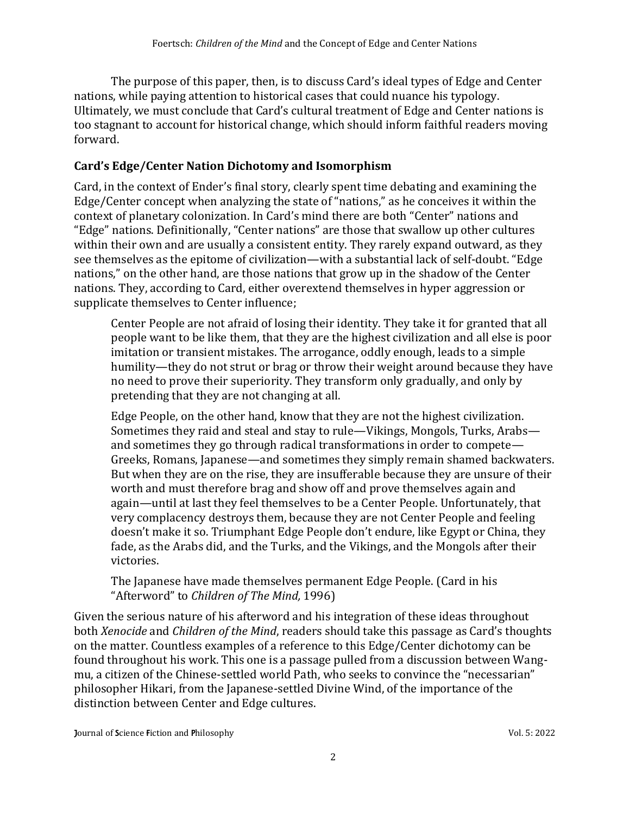The purpose of this paper, then, is to discuss Card's ideal types of Edge and Center nations, while paying attention to historical cases that could nuance his typology. Ultimately, we must conclude that Card's cultural treatment of Edge and Center nations is too stagnant to account for historical change, which should inform faithful readers moving forward.

#### **Card's Edge/Center Nation Dichotomy and Isomorphism**

Card, in the context of Ender's final story, clearly spent time debating and examining the Edge/Center concept when analyzing the state of "nations," as he conceives it within the context of planetary colonization. In Card's mind there are both "Center" nations and "Edge" nations. Definitionally, "Center nations" are those that swallow up other cultures within their own and are usually a consistent entity. They rarely expand outward, as they see themselves as the epitome of civilization—with a substantial lack of self-doubt. "Edge nations," on the other hand, are those nations that grow up in the shadow of the Center nations. They, according to Card, either overextend themselves in hyper aggression or supplicate themselves to Center influence;

Center People are not afraid of losing their identity. They take it for granted that all people want to be like them, that they are the highest civilization and all else is poor imitation or transient mistakes. The arrogance, oddly enough, leads to a simple humility—they do not strut or brag or throw their weight around because they have no need to prove their superiority. They transform only gradually, and only by pretending that they are not changing at all.

Edge People, on the other hand, know that they are not the highest civilization. Sometimes they raid and steal and stay to rule—Vikings, Mongols, Turks, Arabs and sometimes they go through radical transformations in order to compete— Greeks, Romans, Japanese—and sometimes they simply remain shamed backwaters. But when they are on the rise, they are insufferable because they are unsure of their worth and must therefore brag and show off and prove themselves again and again—until at last they feel themselves to be a Center People. Unfortunately, that very complacency destroys them, because they are not Center People and feeling doesn't make it so. Triumphant Edge People don't endure, like Egypt or China, they fade, as the Arabs did, and the Turks, and the Vikings, and the Mongols after their victories.

The Japanese have made themselves permanent Edge People. (Card in his "Afterword" to *Children of The Mind,* 1996)

Given the serious nature of his afterword and his integration of these ideas throughout both *Xenocide* and *Children of the Mind*, readers should take this passage as Card's thoughts on the matter. Countless examples of a reference to this Edge/Center dichotomy can be found throughout his work. This one is a passage pulled from a discussion between Wangmu, a citizen of the Chinese-settled world Path, who seeks to convince the "necessarian" philosopher Hikari, from the Japanese-settled Divine Wind, of the importance of the distinction between Center and Edge cultures.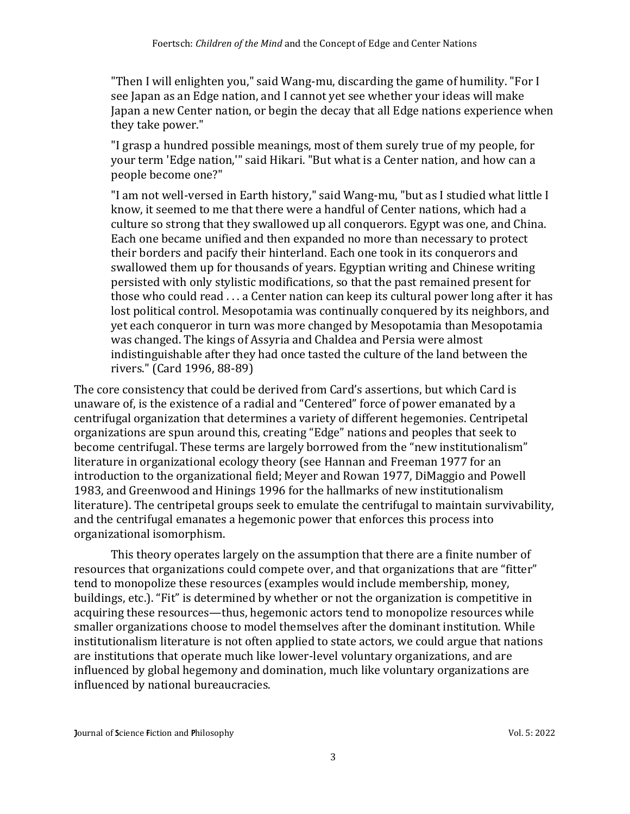"Then I will enlighten you," said Wang-mu, discarding the game of humility. "For I see Japan as an Edge nation, and I cannot yet see whether your ideas will make Japan a new Center nation, or begin the decay that all Edge nations experience when they take power."

"I grasp a hundred possible meanings, most of them surely true of my people, for your term 'Edge nation,'" said Hikari. "But what is a Center nation, and how can a people become one?"

"I am not well-versed in Earth history," said Wang-mu, "but as I studied what little I know, it seemed to me that there were a handful of Center nations, which had a culture so strong that they swallowed up all conquerors. Egypt was one, and China. Each one became unified and then expanded no more than necessary to protect their borders and pacify their hinterland. Each one took in its conquerors and swallowed them up for thousands of years. Egyptian writing and Chinese writing persisted with only stylistic modifications, so that the past remained present for those who could read . . . a Center nation can keep its cultural power long after it has lost political control. Mesopotamia was continually conquered by its neighbors, and yet each conqueror in turn was more changed by Mesopotamia than Mesopotamia was changed. The kings of Assyria and Chaldea and Persia were almost indistinguishable after they had once tasted the culture of the land between the rivers." (Card 1996, 88-89)

The core consistency that could be derived from Card's assertions, but which Card is unaware of, is the existence of a radial and "Centered" force of power emanated by a centrifugal organization that determines a variety of different hegemonies. Centripetal organizations are spun around this, creating "Edge" nations and peoples that seek to become centrifugal. These terms are largely borrowed from the "new institutionalism" literature in organizational ecology theory (see Hannan and Freeman 1977 for an introduction to the organizational field; Meyer and Rowan 1977, DiMaggio and Powell 1983, and Greenwood and Hinings 1996 for the hallmarks of new institutionalism literature). The centripetal groups seek to emulate the centrifugal to maintain survivability, and the centrifugal emanates a hegemonic power that enforces this process into organizational isomorphism.

This theory operates largely on the assumption that there are a finite number of resources that organizations could compete over, and that organizations that are "fitter" tend to monopolize these resources (examples would include membership, money, buildings, etc.). "Fit" is determined by whether or not the organization is competitive in acquiring these resources—thus, hegemonic actors tend to monopolize resources while smaller organizations choose to model themselves after the dominant institution. While institutionalism literature is not often applied to state actors, we could argue that nations are institutions that operate much like lower-level voluntary organizations, and are influenced by global hegemony and domination, much like voluntary organizations are influenced by national bureaucracies.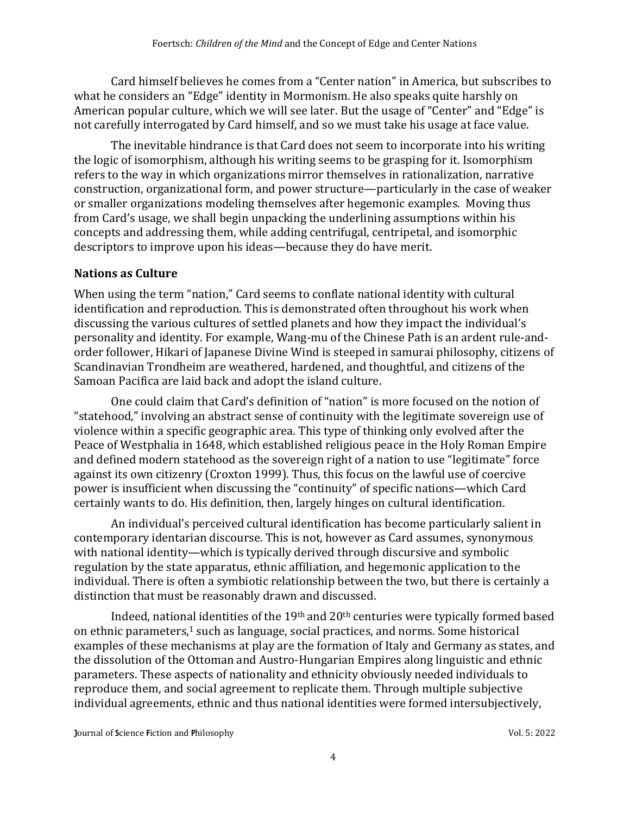Card himself believes he comes from a "Center nation" in America, but subscribes to what he considers an "Edge" identity in Mormonism. He also speaks quite harshly on American popular culture, which we will see later. But the usage of "Center" and "Edge" is not carefully interrogated by Card himself, and so we must take his usage at face value.

The inevitable hindrance is that Card does not seem to incorporate into his writing the logic of isomorphism, although his writing seems to be grasping for it. Isomorphism refers to the way in which organizations mirror themselves in rationalization, narrative construction, organizational form, and power structure—particularly in the case of weaker or smaller organizations modeling themselves after hegemonic examples. Moving thus from Card's usage, we shall begin unpacking the underlining assumptions within his concepts and addressing them, while adding centrifugal, centripetal, and isomorphic descriptors to improve upon his ideas—because they do have merit.

#### **Nations as Culture**

When using the term "nation," Card seems to conflate national identity with cultural identification and reproduction. This is demonstrated often throughout his work when discussing the various cultures of settled planets and how they impact the individual's personality and identity. For example, Wang-mu of the Chinese Path is an ardent rule-andorder follower, Hikari of Japanese Divine Wind is steeped in samurai philosophy, citizens of Scandinavian Trondheim are weathered, hardened, and thoughtful, and citizens of the Samoan Pacifica are laid back and adopt the island culture.

One could claim that Card's definition of "nation" is more focused on the notion of "statehood," involving an abstract sense of continuity with the legitimate sovereign use of violence within a specific geographic area. This type of thinking only evolved after the Peace of Westphalia in 1648, which established religious peace in the Holy Roman Empire and defined modern statehood as the sovereign right of a nation to use "legitimate" force against its own citizenry (Croxton 1999). Thus, this focus on the lawful use of coercive power is insufficient when discussing the "continuity" of specific nations—which Card certainly wants to do. His definition, then, largely hinges on cultural identification.

An individual's perceived cultural identification has become particularly salient in contemporary identarian discourse. This is not, however as Card assumes, synonymous with national identity—which is typically derived through discursive and symbolic regulation by the state apparatus, ethnic affiliation, and hegemonic application to the individual. There is often a symbiotic relationship between the two, but there is certainly a distinction that must be reasonably drawn and discussed.

Indeed, national identities of the 19th and 20th centuries were typically formed based on ethnic parameters, <sup>1</sup> such as language, social practices, and norms. Some historical examples of these mechanisms at play are the formation of Italy and Germany as states, and the dissolution of the Ottoman and Austro-Hungarian Empires along linguistic and ethnic parameters. These aspects of nationality and ethnicity obviously needed individuals to reproduce them, and social agreement to replicate them. Through multiple subjective individual agreements, ethnic and thus national identities were formed intersubjectively,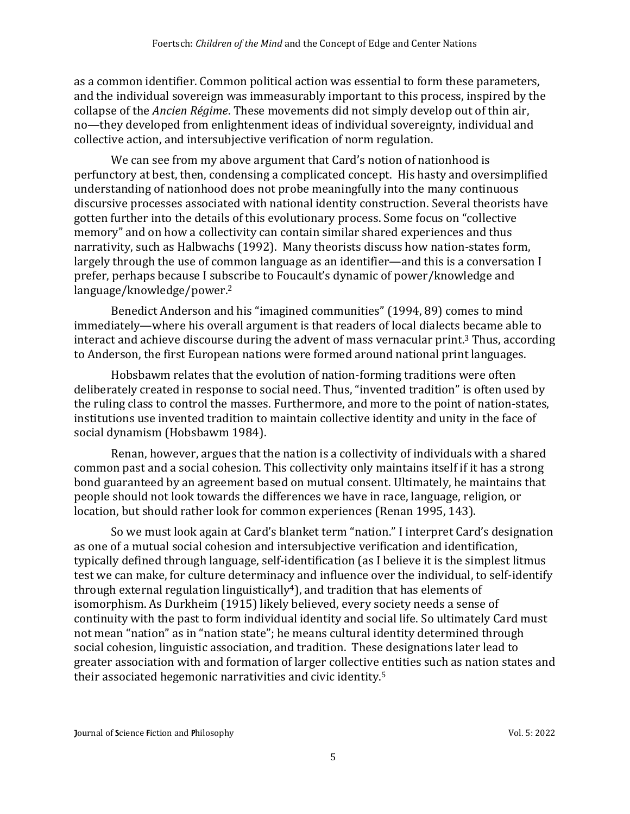as a common identifier. Common political action was essential to form these parameters, and the individual sovereign was immeasurably important to this process, inspired by the collapse of the *Ancien Régime*. These movements did not simply develop out of thin air, no—they developed from enlightenment ideas of individual sovereignty, individual and collective action, and intersubjective verification of norm regulation.

We can see from my above argument that Card's notion of nationhood is perfunctory at best, then, condensing a complicated concept. His hasty and oversimplified understanding of nationhood does not probe meaningfully into the many continuous discursive processes associated with national identity construction. Several theorists have gotten further into the details of this evolutionary process. Some focus on "collective memory" and on how a collectivity can contain similar shared experiences and thus narrativity, such as Halbwachs (1992). Many theorists discuss how nation-states form, largely through the use of common language as an identifier—and this is a conversation I prefer, perhaps because I subscribe to Foucault's dynamic of power/knowledge and language/knowledge/power. 2

Benedict Anderson and his "imagined communities" (1994, 89) comes to mind immediately—where his overall argument is that readers of local dialects became able to interact and achieve discourse during the advent of mass vernacular print. <sup>3</sup> Thus, according to Anderson, the first European nations were formed around national print languages.

Hobsbawm relates that the evolution of nation-forming traditions were often deliberately created in response to social need. Thus, "invented tradition" is often used by the ruling class to control the masses. Furthermore, and more to the point of nation-states, institutions use invented tradition to maintain collective identity and unity in the face of social dynamism (Hobsbawm 1984).

Renan, however, argues that the nation is a collectivity of individuals with a shared common past and a social cohesion. This collectivity only maintains itself if it has a strong bond guaranteed by an agreement based on mutual consent. Ultimately, he maintains that people should not look towards the differences we have in race, language, religion, or location, but should rather look for common experiences (Renan 1995, 143).

So we must look again at Card's blanket term "nation." I interpret Card's designation as one of a mutual social cohesion and intersubjective verification and identification, typically defined through language, self-identification (as I believe it is the simplest litmus test we can make, for culture determinacy and influence over the individual, to self-identify through external regulation linguistically<sup>4</sup>), and tradition that has elements of isomorphism. As Durkheim (1915) likely believed, every society needs a sense of continuity with the past to form individual identity and social life. So ultimately Card must not mean "nation" as in "nation state"; he means cultural identity determined through social cohesion, linguistic association, and tradition. These designations later lead to greater association with and formation of larger collective entities such as nation states and their associated hegemonic narrativities and civic identity. 5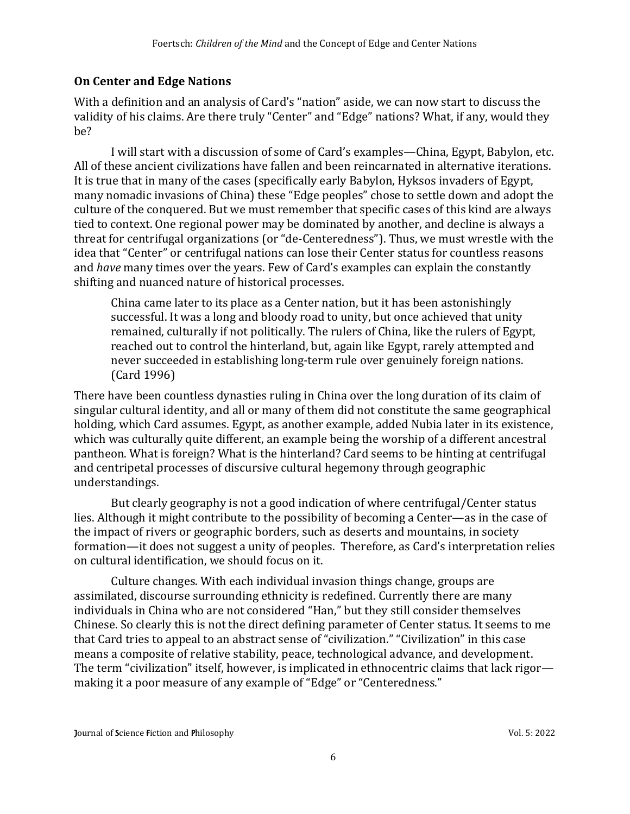### **On Center and Edge Nations**

With a definition and an analysis of Card's "nation" aside, we can now start to discuss the validity of his claims. Are there truly "Center" and "Edge" nations? What, if any, would they be?

I will start with a discussion of some of Card's examples—China, Egypt, Babylon, etc. All of these ancient civilizations have fallen and been reincarnated in alternative iterations. It is true that in many of the cases (specifically early Babylon, Hyksos invaders of Egypt, many nomadic invasions of China) these "Edge peoples" chose to settle down and adopt the culture of the conquered. But we must remember that specific cases of this kind are always tied to context. One regional power may be dominated by another, and decline is always a threat for centrifugal organizations (or "de-Centeredness"). Thus, we must wrestle with the idea that "Center" or centrifugal nations can lose their Center status for countless reasons and *have* many times over the years. Few of Card's examples can explain the constantly shifting and nuanced nature of historical processes.

China came later to its place as a Center nation, but it has been astonishingly successful. It was a long and bloody road to unity, but once achieved that unity remained, culturally if not politically. The rulers of China, like the rulers of Egypt, reached out to control the hinterland, but, again like Egypt, rarely attempted and never succeeded in establishing long-term rule over genuinely foreign nations. (Card 1996)

There have been countless dynasties ruling in China over the long duration of its claim of singular cultural identity, and all or many of them did not constitute the same geographical holding, which Card assumes. Egypt, as another example, added Nubia later in its existence, which was culturally quite different, an example being the worship of a different ancestral pantheon. What is foreign? What is the hinterland? Card seems to be hinting at centrifugal and centripetal processes of discursive cultural hegemony through geographic understandings.

But clearly geography is not a good indication of where centrifugal/Center status lies. Although it might contribute to the possibility of becoming a Center—as in the case of the impact of rivers or geographic borders, such as deserts and mountains, in society formation—it does not suggest a unity of peoples. Therefore, as Card's interpretation relies on cultural identification, we should focus on it.

Culture changes. With each individual invasion things change, groups are assimilated, discourse surrounding ethnicity is redefined. Currently there are many individuals in China who are not considered "Han," but they still consider themselves Chinese. So clearly this is not the direct defining parameter of Center status. It seems to me that Card tries to appeal to an abstract sense of "civilization." "Civilization" in this case means a composite of relative stability, peace, technological advance, and development. The term "civilization" itself, however, is implicated in ethnocentric claims that lack rigor making it a poor measure of any example of "Edge" or "Centeredness."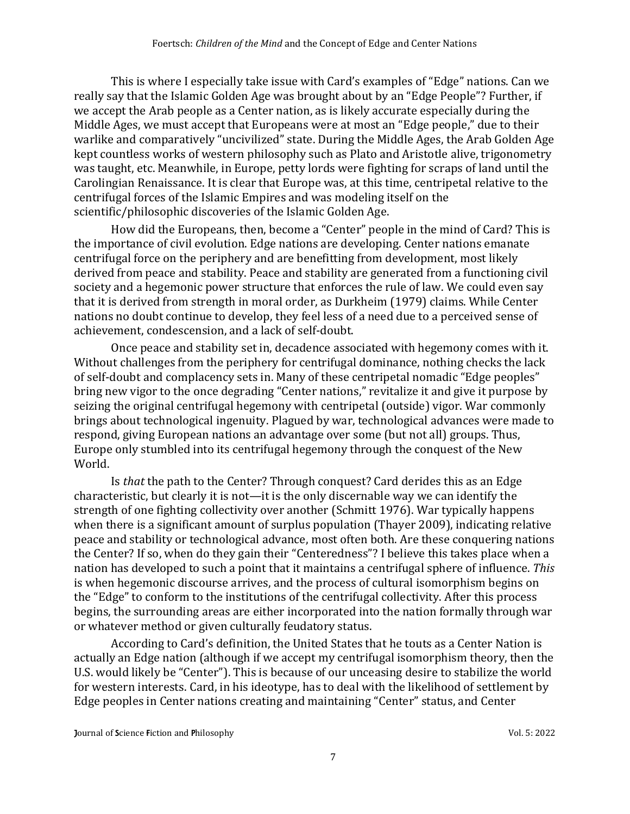This is where I especially take issue with Card's examples of "Edge" nations. Can we really say that the Islamic Golden Age was brought about by an "Edge People"? Further, if we accept the Arab people as a Center nation, as is likely accurate especially during the Middle Ages, we must accept that Europeans were at most an "Edge people," due to their warlike and comparatively "uncivilized" state. During the Middle Ages, the Arab Golden Age kept countless works of western philosophy such as Plato and Aristotle alive, trigonometry was taught, etc. Meanwhile, in Europe, petty lords were fighting for scraps of land until the Carolingian Renaissance. It is clear that Europe was, at this time, centripetal relative to the centrifugal forces of the Islamic Empires and was modeling itself on the scientific/philosophic discoveries of the Islamic Golden Age.

How did the Europeans, then, become a "Center" people in the mind of Card? This is the importance of civil evolution. Edge nations are developing. Center nations emanate centrifugal force on the periphery and are benefitting from development, most likely derived from peace and stability. Peace and stability are generated from a functioning civil society and a hegemonic power structure that enforces the rule of law. We could even say that it is derived from strength in moral order, as Durkheim (1979) claims. While Center nations no doubt continue to develop, they feel less of a need due to a perceived sense of achievement, condescension, and a lack of self-doubt.

Once peace and stability set in, decadence associated with hegemony comes with it. Without challenges from the periphery for centrifugal dominance, nothing checks the lack of self-doubt and complacency sets in. Many of these centripetal nomadic "Edge peoples" bring new vigor to the once degrading "Center nations," revitalize it and give it purpose by seizing the original centrifugal hegemony with centripetal (outside) vigor. War commonly brings about technological ingenuity. Plagued by war, technological advances were made to respond, giving European nations an advantage over some (but not all) groups. Thus, Europe only stumbled into its centrifugal hegemony through the conquest of the New World.

Is *that* the path to the Center? Through conquest? Card derides this as an Edge characteristic, but clearly it is not—it is the only discernable way we can identify the strength of one fighting collectivity over another (Schmitt 1976). War typically happens when there is a significant amount of surplus population (Thayer 2009), indicating relative peace and stability or technological advance, most often both. Are these conquering nations the Center? If so, when do they gain their "Centeredness"? I believe this takes place when a nation has developed to such a point that it maintains a centrifugal sphere of influence. *This* is when hegemonic discourse arrives, and the process of cultural isomorphism begins on the "Edge" to conform to the institutions of the centrifugal collectivity. After this process begins, the surrounding areas are either incorporated into the nation formally through war or whatever method or given culturally feudatory status.

According to Card's definition, the United States that he touts as a Center Nation is actually an Edge nation (although if we accept my centrifugal isomorphism theory, then the U.S. would likely be "Center"). This is because of our unceasing desire to stabilize the world for western interests. Card, in his ideotype, has to deal with the likelihood of settlement by Edge peoples in Center nations creating and maintaining "Center" status, and Center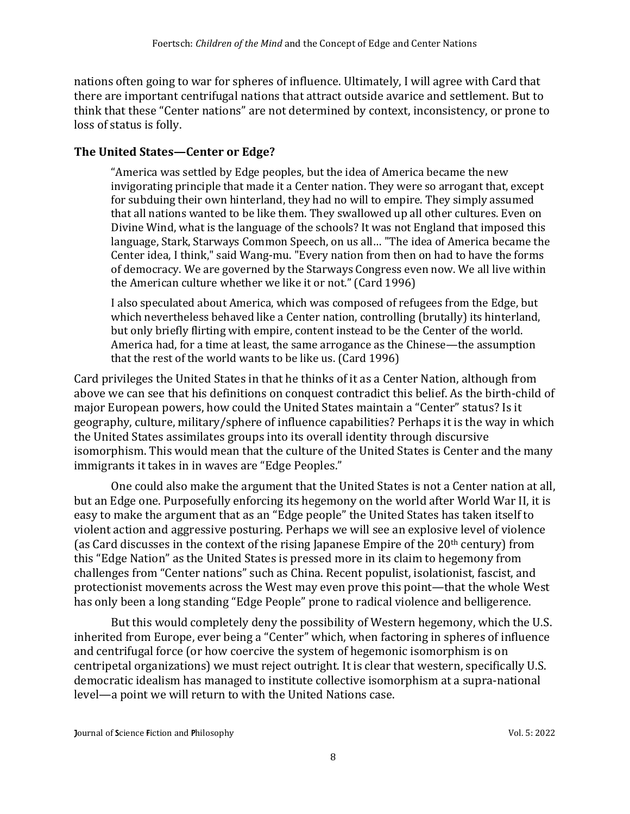nations often going to war for spheres of influence. Ultimately, I will agree with Card that there are important centrifugal nations that attract outside avarice and settlement. But to think that these "Center nations" are not determined by context, inconsistency, or prone to loss of status is folly.

#### **The United States—Center or Edge?**

"America was settled by Edge peoples, but the idea of America became the new invigorating principle that made it a Center nation. They were so arrogant that, except for subduing their own hinterland, they had no will to empire. They simply assumed that all nations wanted to be like them. They swallowed up all other cultures. Even on Divine Wind, what is the language of the schools? It was not England that imposed this language, Stark, Starways Common Speech, on us all… "The idea of America became the Center idea, I think," said Wang-mu. "Every nation from then on had to have the forms of democracy. We are governed by the Starways Congress even now. We all live within the American culture whether we like it or not." (Card 1996)

I also speculated about America, which was composed of refugees from the Edge, but which nevertheless behaved like a Center nation, controlling (brutally) its hinterland, but only briefly flirting with empire, content instead to be the Center of the world. America had, for a time at least, the same arrogance as the Chinese—the assumption that the rest of the world wants to be like us. (Card 1996)

Card privileges the United States in that he thinks of it as a Center Nation, although from above we can see that his definitions on conquest contradict this belief. As the birth-child of major European powers, how could the United States maintain a "Center" status? Is it geography, culture, military/sphere of influence capabilities? Perhaps it is the way in which the United States assimilates groups into its overall identity through discursive isomorphism. This would mean that the culture of the United States is Center and the many immigrants it takes in in waves are "Edge Peoples."

One could also make the argument that the United States is not a Center nation at all, but an Edge one. Purposefully enforcing its hegemony on the world after World War II, it is easy to make the argument that as an "Edge people" the United States has taken itself to violent action and aggressive posturing. Perhaps we will see an explosive level of violence (as Card discusses in the context of the rising Japanese Empire of the  $20<sup>th</sup>$  century) from this "Edge Nation" as the United States is pressed more in its claim to hegemony from challenges from "Center nations" such as China. Recent populist, isolationist, fascist, and protectionist movements across the West may even prove this point—that the whole West has only been a long standing "Edge People" prone to radical violence and belligerence.

But this would completely deny the possibility of Western hegemony, which the U.S. inherited from Europe, ever being a "Center" which, when factoring in spheres of influence and centrifugal force (or how coercive the system of hegemonic isomorphism is on centripetal organizations) we must reject outright. It is clear that western, specifically U.S. democratic idealism has managed to institute collective isomorphism at a supra-national level—a point we will return to with the United Nations case.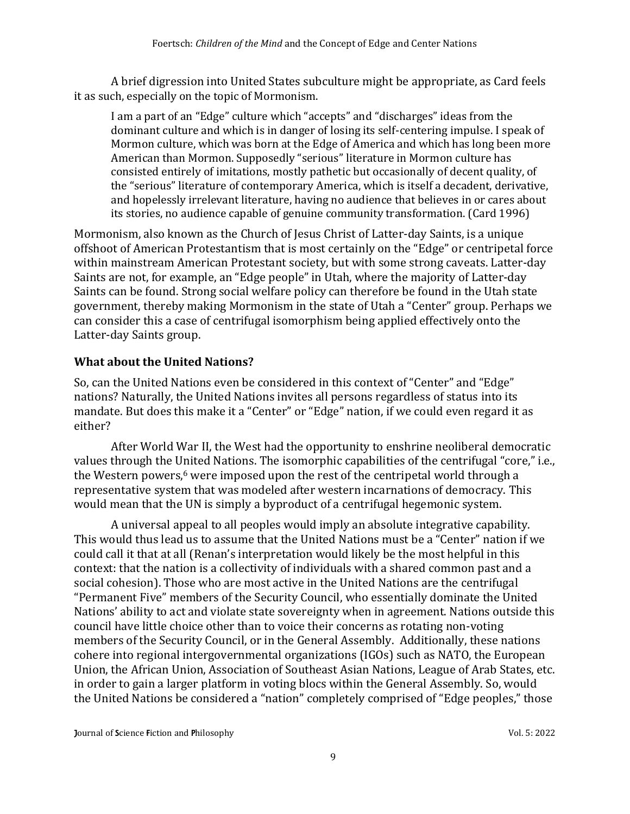A brief digression into United States subculture might be appropriate, as Card feels it as such, especially on the topic of Mormonism.

I am a part of an "Edge" culture which "accepts" and "discharges" ideas from the dominant culture and which is in danger of losing its self-centering impulse. I speak of Mormon culture, which was born at the Edge of America and which has long been more American than Mormon. Supposedly "serious" literature in Mormon culture has consisted entirely of imitations, mostly pathetic but occasionally of decent quality, of the "serious" literature of contemporary America, which is itself a decadent, derivative, and hopelessly irrelevant literature, having no audience that believes in or cares about its stories, no audience capable of genuine community transformation. (Card 1996)

Mormonism, also known as the Church of Jesus Christ of Latter-day Saints, is a unique offshoot of American Protestantism that is most certainly on the "Edge" or centripetal force within mainstream American Protestant society, but with some strong caveats. Latter-day Saints are not, for example, an "Edge people" in Utah, where the majority of Latter-day Saints can be found. Strong social welfare policy can therefore be found in the Utah state government, thereby making Mormonism in the state of Utah a "Center" group. Perhaps we can consider this a case of centrifugal isomorphism being applied effectively onto the Latter-day Saints group.

### **What about the United Nations?**

So, can the United Nations even be considered in this context of "Center" and "Edge" nations? Naturally, the United Nations invites all persons regardless of status into its mandate. But does this make it a "Center" or "Edge" nation, if we could even regard it as either?

After World War II, the West had the opportunity to enshrine neoliberal democratic values through the United Nations. The isomorphic capabilities of the centrifugal "core," i.e., the Western powers, <sup>6</sup> were imposed upon the rest of the centripetal world through a representative system that was modeled after western incarnations of democracy. This would mean that the UN is simply a byproduct of a centrifugal hegemonic system.

A universal appeal to all peoples would imply an absolute integrative capability. This would thus lead us to assume that the United Nations must be a "Center" nation if we could call it that at all (Renan's interpretation would likely be the most helpful in this context: that the nation is a collectivity of individuals with a shared common past and a social cohesion). Those who are most active in the United Nations are the centrifugal "Permanent Five" members of the Security Council, who essentially dominate the United Nations' ability to act and violate state sovereignty when in agreement. Nations outside this council have little choice other than to voice their concerns as rotating non-voting members of the Security Council, or in the General Assembly. Additionally, these nations cohere into regional intergovernmental organizations (IGOs) such as NATO, the European Union, the African Union, Association of Southeast Asian Nations, League of Arab States, etc. in order to gain a larger platform in voting blocs within the General Assembly. So, would the United Nations be considered a "nation" completely comprised of "Edge peoples," those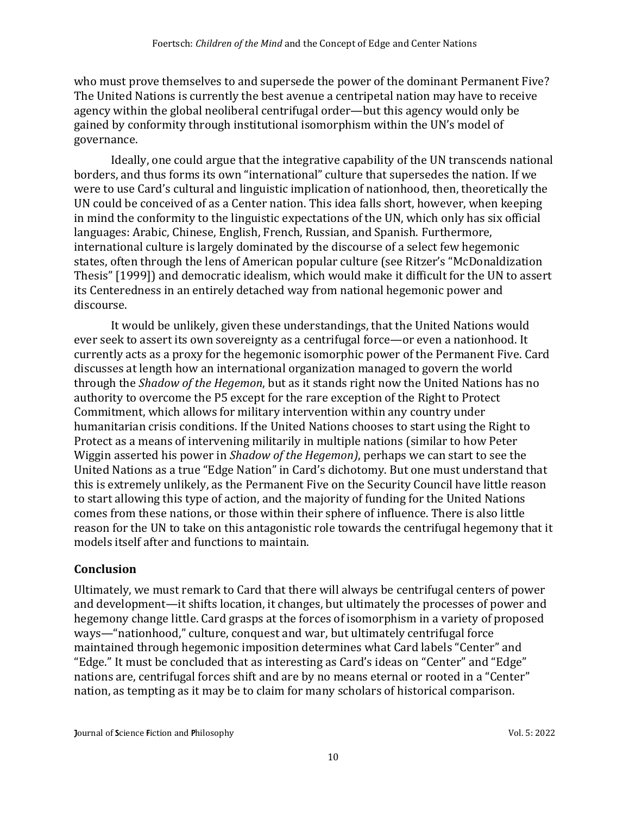who must prove themselves to and supersede the power of the dominant Permanent Five? The United Nations is currently the best avenue a centripetal nation may have to receive agency within the global neoliberal centrifugal order—but this agency would only be gained by conformity through institutional isomorphism within the UN's model of governance.

Ideally, one could argue that the integrative capability of the UN transcends national borders, and thus forms its own "international" culture that supersedes the nation. If we were to use Card's cultural and linguistic implication of nationhood, then, theoretically the UN could be conceived of as a Center nation. This idea falls short, however, when keeping in mind the conformity to the linguistic expectations of the UN, which only has six official languages: Arabic, Chinese, English, French, Russian, and Spanish. Furthermore, international culture is largely dominated by the discourse of a select few hegemonic states, often through the lens of American popular culture (see Ritzer's "McDonaldization Thesis" [1999]) and democratic idealism, which would make it difficult for the UN to assert its Centeredness in an entirely detached way from national hegemonic power and discourse.

It would be unlikely, given these understandings, that the United Nations would ever seek to assert its own sovereignty as a centrifugal force—or even a nationhood. It currently acts as a proxy for the hegemonic isomorphic power of the Permanent Five. Card discusses at length how an international organization managed to govern the world through the *Shadow of the Hegemon*, but as it stands right now the United Nations has no authority to overcome the P5 except for the rare exception of the Right to Protect Commitment, which allows for military intervention within any country under humanitarian crisis conditions. If the United Nations chooses to start using the Right to Protect as a means of intervening militarily in multiple nations (similar to how Peter Wiggin asserted his power in *Shadow of the Hegemon)*, perhaps we can start to see the United Nations as a true "Edge Nation" in Card's dichotomy. But one must understand that this is extremely unlikely, as the Permanent Five on the Security Council have little reason to start allowing this type of action, and the majority of funding for the United Nations comes from these nations, or those within their sphere of influence. There is also little reason for the UN to take on this antagonistic role towards the centrifugal hegemony that it models itself after and functions to maintain.

#### **Conclusion**

Ultimately, we must remark to Card that there will always be centrifugal centers of power and development—it shifts location, it changes, but ultimately the processes of power and hegemony change little. Card grasps at the forces of isomorphism in a variety of proposed ways—"nationhood," culture, conquest and war, but ultimately centrifugal force maintained through hegemonic imposition determines what Card labels "Center" and "Edge." It must be concluded that as interesting as Card's ideas on "Center" and "Edge" nations are, centrifugal forces shift and are by no means eternal or rooted in a "Center" nation, as tempting as it may be to claim for many scholars of historical comparison.

**Journal of Science Fiction and Philosophy Compact Science Fiction and Philosophy** Vol. 5: 2022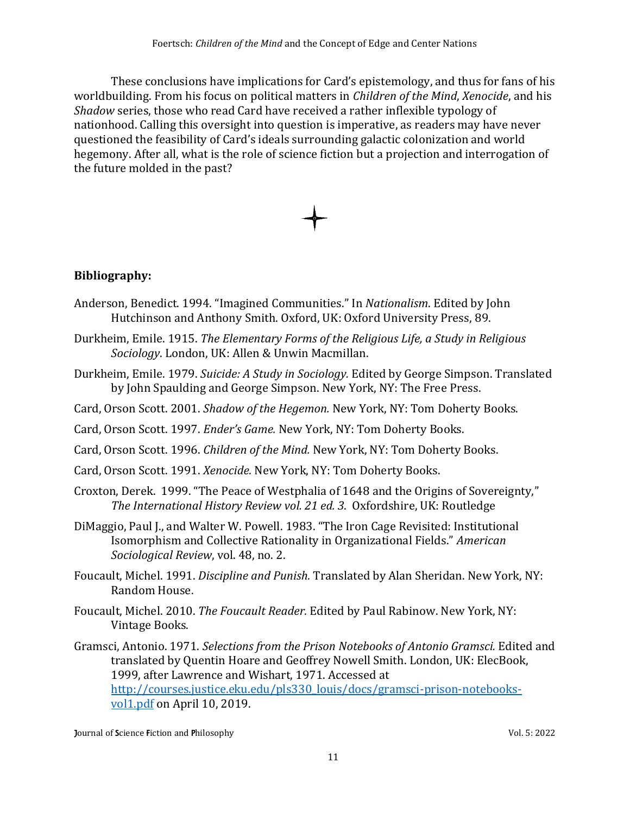These conclusions have implications for Card's epistemology, and thus for fans of his worldbuilding. From his focus on political matters in *Children of the Mind*, *Xenocide*, and his *Shadow* series, those who read Card have received a rather inflexible typology of nationhood. Calling this oversight into question is imperative, as readers may have never questioned the feasibility of Card's ideals surrounding galactic colonization and world hegemony. After all, what is the role of science fiction but a projection and interrogation of the future molded in the past?



## **Bibliography:**

- Anderson, Benedict. 1994. "Imagined Communities." In *Nationalism*. Edited by John Hutchinson and Anthony Smith. Oxford, UK: Oxford University Press, 89.
- Durkheim, Emile. 1915. *The Elementary Forms of the Religious Life, a Study in Religious Sociology*. London, UK: Allen & Unwin Macmillan.
- Durkheim, Emile. 1979. *Suicide: A Study in Sociology.* Edited by George Simpson. Translated by John Spaulding and George Simpson. New York, NY: The Free Press.
- Card, Orson Scott. 2001. *Shadow of the Hegemon.* New York, NY: Tom Doherty Books.
- Card, Orson Scott. 1997. *Ender's Game.* New York, NY: Tom Doherty Books.
- Card, Orson Scott. 1996. *Children of the Mind.* New York, NY: Tom Doherty Books.
- Card, Orson Scott. 1991. *Xenocide.* New York, NY: Tom Doherty Books.
- Croxton, Derek. 1999. "The Peace of Westphalia of 1648 and the Origins of Sovereignty," *The International History Review vol. 21 ed. 3*. Oxfordshire, UK: Routledge
- DiMaggio, Paul J., and Walter W. Powell. 1983. "The Iron Cage Revisited: Institutional Isomorphism and Collective Rationality in Organizational Fields." *American Sociological Review*, vol. 48, no. 2.
- Foucault, Michel. 1991. *Discipline and Punish.* Translated by Alan Sheridan. New York, NY: Random House.
- Foucault, Michel. 2010. *The Foucault Reader.* Edited by Paul Rabinow. New York, NY: Vintage Books.
- Gramsci, Antonio. 1971. *Selections from the Prison Notebooks of Antonio Gramsci.* Edited and translated by Quentin Hoare and Geoffrey Nowell Smith. London, UK: ElecBook, 1999, after Lawrence and Wishart, 1971. Accessed at [http://courses.justice.eku.edu/pls330\\_louis/docs/gramsci-prison-notebooks](http://courses.justice.eku.edu/pls330_louis/docs/gramsci-prison-notebooks-vol1.pdf)[vol1.pdf](http://courses.justice.eku.edu/pls330_louis/docs/gramsci-prison-notebooks-vol1.pdf) on April 10, 2019.

**Journal of Science Fiction and Philosophy Compact Science Fiction and Philosophy** Vol. 5: 2022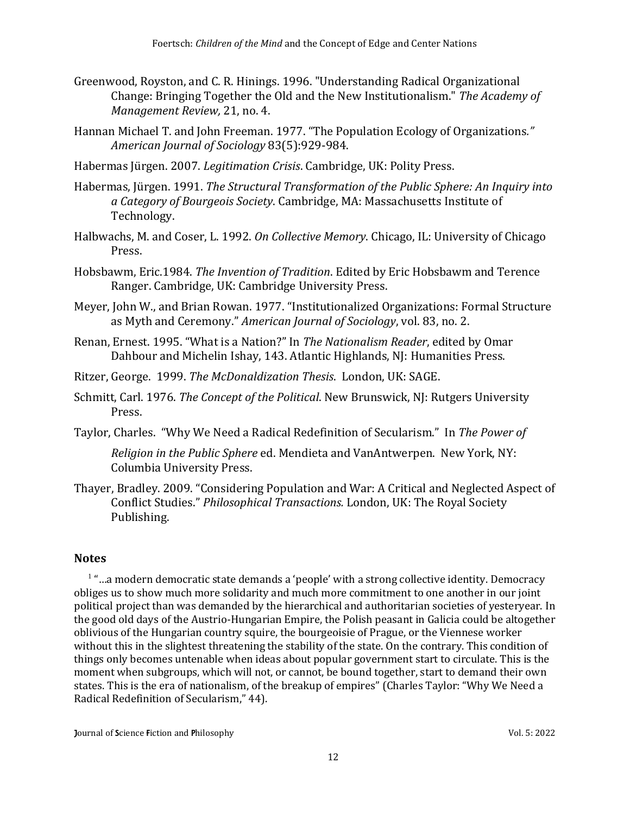- Greenwood, Royston, and C. R. Hinings. 1996. "Understanding Radical Organizational Change: Bringing Together the Old and the New Institutionalism." *The Academy of Management Review,* 21, no. 4.
- Hannan Michael T. and John Freeman. 1977. "The Population Ecology of Organizations*." American Journal of Sociology* 83(5):929-984.
- Habermas Jü rgen. 2007. *Legitimation Crisis*. Cambridge, UK: Polity Press.
- Habermas, Jürgen. 1991. *The Structural Transformation of the Public Sphere: An Inquiry into a Category of Bourgeois Society*. Cambridge, MA: Massachusetts Institute of Technology.
- Halbwachs, M. and Coser, L. 1992. *On Collective Memory*. Chicago, IL: University of Chicago Press.
- Hobsbawm, Eric.1984. *The Invention of Tradition*. Edited by Eric Hobsbawm and Terence Ranger. Cambridge, UK: Cambridge University Press.
- Meyer, John W., and Brian Rowan. 1977. "Institutionalized Organizations: Formal Structure as Myth and Ceremony." *American Journal of Sociology*, vol. 83, no. 2.
- Renan, Ernest. 1995. "What is a Nation?" In *The Nationalism Reader*, edited by Omar Dahbour and Michelin Ishay, 143. Atlantic Highlands, NJ: Humanities Press.
- Ritzer, George. 1999. *The McDonaldization Thesis*. London, UK: SAGE.
- Schmitt, Carl. 1976. *The Concept of the Political*. New Brunswick, NJ: Rutgers University Press.
- Taylor, Charles. "Why We Need a Radical Redefinition of Secularism." In *The Power of*

*Religion in the Public Sphere* ed. Mendieta and VanAntwerpen. New York, NY: Columbia University Press.

Thayer, Bradley. 2009. "Considering Population and War: A Critical and Neglected Aspect of Conflict Studies." *Philosophical Transactions.* London, UK: The Royal Society Publishing.

#### **Notes**

 $1$  "...a modern democratic state demands a 'people' with a strong collective identity. Democracy obliges us to show much more solidarity and much more commitment to one another in our joint political project than was demanded by the hierarchical and authoritarian societies of yesteryear. In the good old days of the Austrio-Hungarian Empire, the Polish peasant in Galicia could be altogether oblivious of the Hungarian country squire, the bourgeoisie of Prague, or the Viennese worker without this in the slightest threatening the stability of the state. On the contrary. This condition of things only becomes untenable when ideas about popular government start to circulate. This is the moment when subgroups, which will not, or cannot, be bound together, start to demand their own states. This is the era of nationalism, of the breakup of empires" (Charles Taylor: "Why We Need a Radical Redefinition of Secularism," 44).

**Journal of Science Fiction and Philosophy Compact Science Fiction and Philosophy** Vol. 5: 2022